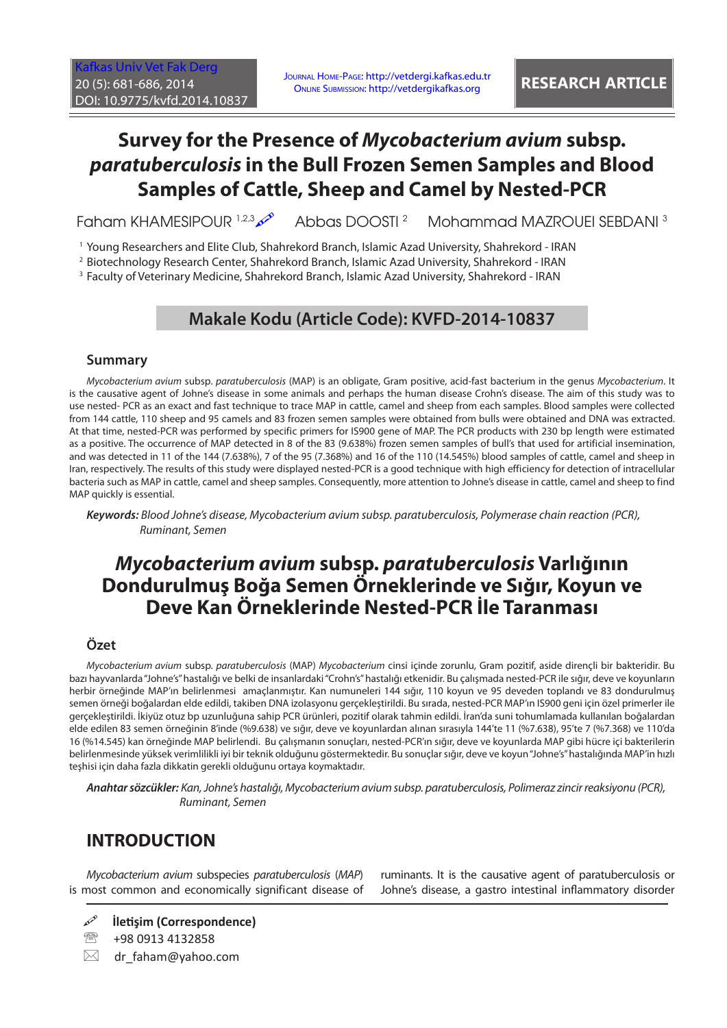Journal Home-Page: http://vetdergi.kafkas.edu.tr Online Submission: http://vetdergikafkas.org **RESEARCH ARTICLE**

# **Survey for the Presence of** *Mycobacterium avium* **subsp.**  *paratuberculosis* **in the Bull Frozen Semen Samples and Blood Samples of Cattle, Sheep and Camel by Nested-PCR**

Faham KHAMESIPOUR 1,2,3 Abbas DOOSTI 2 Mohammad MAZROUEI SEBDANI 3

1 Young Researchers and Elite Club, Shahrekord Branch, Islamic Azad University, Shahrekord - IRAN

2 Biotechnology Research Center, Shahrekord Branch, Islamic Azad University, Shahrekord - IRAN

3 Faculty of Veterinary Medicine, Shahrekord Branch, Islamic Azad University, Shahrekord - IRAN

### **Makale Kodu (Article Code): KVFD-2014-10837**

#### **Summary**

*Mycobacterium avium* subsp. *paratuberculosis* (MAP) is an obligate, Gram positive, acid-fast bacterium in the genus *Mycobacterium*. It is the causative agent of Johne's disease in some animals and perhaps the human disease Crohn's disease. The aim of this study was to use nested- PCR as an exact and fast technique to trace MAP in cattle, camel and sheep from each samples. Blood samples were collected from 144 cattle, 110 sheep and 95 camels and 83 frozen semen samples were obtained from bulls were obtained and DNA was extracted. At that time, nested-PCR was performed by specific primers for IS900 gene of MAP. The PCR products with 230 bp length were estimated as a positive. The occurrence of MAP detected in 8 of the 83 (9.638%) frozen semen samples of bull's that used for artificial insemination, and was detected in 11 of the 144 (7.638%), 7 of the 95 (7.368%) and 16 of the 110 (14.545%) blood samples of cattle, camel and sheep in Iran, respectively. The results of this study were displayed nested-PCR is a good technique with high efficiency for detection of intracellular bacteria such as MAP in cattle, camel and sheep samples. Consequently, more attention to Johne's disease in cattle, camel and sheep to find MAP quickly is essential.

*Keywords: Blood Johne's disease, Mycobacterium avium subsp. paratuberculosis, Polymerase chain reaction (PCR), Ruminant, Semen*

## *Mycobacterium avium* **subsp.** *paratuberculosis* **Varlığının Dondurulmuş Boğa Semen Örneklerinde ve Sığır, Koyun ve Deve Kan Örneklerinde Nested-PCR İle Taranması**

#### **Özet**

*Mycobacterium avium* subsp. *paratuberculosis* (MAP) *Mycobacterium* cinsi içinde zorunlu, Gram pozitif, aside dirençli bir bakteridir. Bu bazı hayvanlarda "Johne's" hastalığı ve belki de insanlardaki "Crohn's" hastalığı etkenidir. Bu çalışmada nested-PCR ile sığır, deve ve koyunların herbir örneğinde MAP'ın belirlenmesi amaçlanmıştır. Kan numuneleri 144 sığır, 110 koyun ve 95 deveden toplandı ve 83 dondurulmuş semen örneği boğalardan elde edildi, takiben DNA izolasyonu gerçekleştirildi. Bu sırada, nested-PCR MAP'ın IS900 geni için özel primerler ile gerçekleştirildi. İkiyüz otuz bp uzunluğuna sahip PCR ürünleri, pozitif olarak tahmin edildi. İran'da suni tohumlamada kullanılan boğalardan elde edilen 83 semen örneğinin 8'inde (%9.638) ve sığır, deve ve koyunlardan alınan sırasıyla 144'te 11 (%7.638), 95'te 7 (%7.368) ve 110'da 16 (%14.545) kan örneğinde MAP belirlendi. Bu çalışmanın sonuçları, nested-PCR'ın sığır, deve ve koyunlarda MAP gibi hücre içi bakterilerin belirlenmesinde yüksek verimlilikli iyi bir teknik olduğunu göstermektedir. Bu sonuçlar sığır, deve ve koyun "Johne's" hastalığında MAP'in hızlı teşhisi için daha fazla dikkatin gerekli olduğunu ortaya koymaktadır.

*Anahtar sözcükler: Kan, Johne's hastalığı, Mycobacterium avium subsp. paratuberculosis, Polimeraz zincir reaksiyonu (PCR), Ruminant, Semen*

### **INTRODUCTION**

*Mycobacterium avium* subspecies *paratuberculosis* (*MAP*) is most common and economically significant disease of ruminants. It is the causative agent of paratuberculosis or Johne's disease, a gastro intestinal inflammatory disorder

- **İletişim (Correspondence)**
- <sup>2</sup> +98 0913 4132858
- $\boxtimes$  dr faham@yahoo.com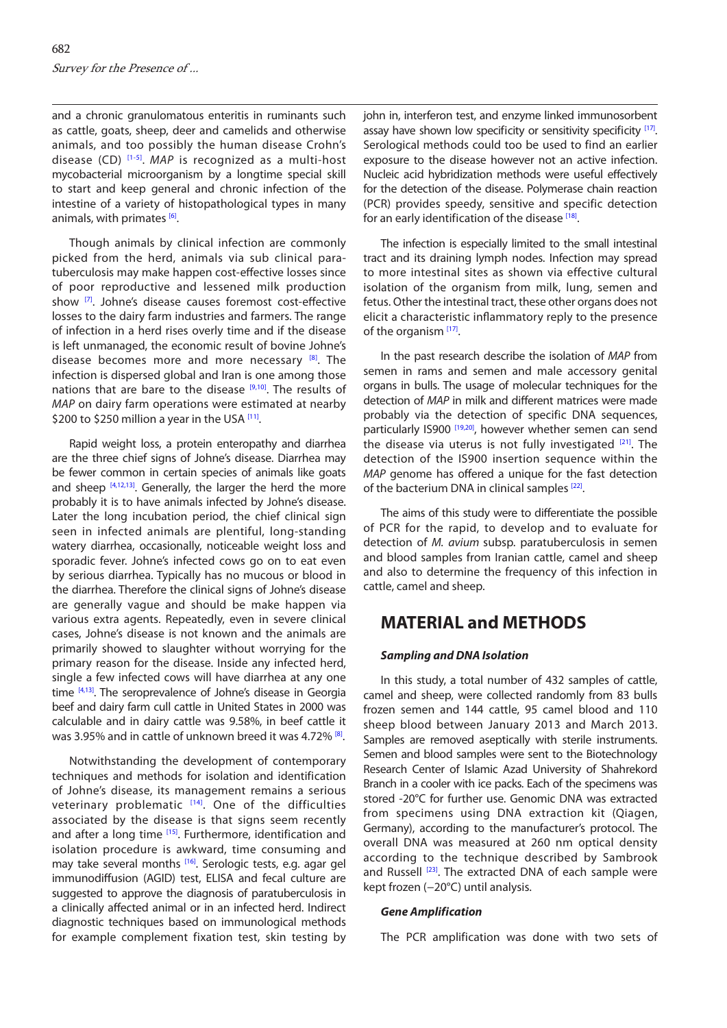and a chronic granulomatous enteritis in ruminants such as cattle, goats, sheep, deer and camelids and otherwise animals, and too possibly the human disease Crohn's disease (CD) [\[1-5\]](#page-4-0). *MAP* is recognized as a multi-host mycobacterial microorganism by a longtime special skill to start and keep general and chronic infection of the intestine of a variety of histopathological types in many animals, with primates [\[6\].](#page-4-0)

Though animals by clinical infection are commonly picked from the herd, animals via sub clinical paratuberculosis may make happen cost-effective losses since of poor reproductive and lessened milk production show [\[7\].](#page-4-0) Johne's disease causes foremost cost-effective losses to the dairy farm industries and farmers. The range of infection in a herd rises overly time and if the disease is left unmanaged, the economic result of bovine Johne's disease becomes more and more necessary  $[8]$ . The infection is dispersed global and Iran is one among those nations that are bare to the disease  $[9,10]$ . The results of *MAP* on dairy farm operations were estimated at nearby \$200 to \$250 million a year in the USA [\[11\]](#page-4-0).

Rapid weight loss, a protein enteropathy and diarrhea are the three chief signs of Johne's disease. Diarrhea may be fewer common in certain species of animals like goats and sheep  $[4,12,13]$ . Generally, the larger the herd the more probably it is to have animals infected by Johne's disease. Later the long incubation period, the chief clinical sign seen in infected animals are plentiful, long-standing watery diarrhea, occasionally, noticeable weight loss and sporadic fever. Johne's infected cows go on to eat even by serious diarrhea. Typically has no mucous or blood in the diarrhea. Therefore the clinical signs of Johne's disease are generally vague and should be make happen via various extra agents. Repeatedly, even in severe clinical cases, Johne's disease is not known and the animals are primarily showed to slaughter without worrying for the primary reason for the disease. Inside any infected herd, single a few infected cows will have diarrhea at any one time [\[4,13\].](#page-4-0) The seroprevalence of Johne's disease in Georgia beef and dairy farm cull cattle in United States in 2000 was calculable and in dairy cattle was 9.58%, in beef cattle it was 3.95% and in cattle of unknown breed it was 4.72% [\[8\].](#page-4-0)

Notwithstanding the development of contemporary techniques and methods for isolation and identification of Johne's disease, its management remains a serious veterinary problematic  $[14]$ . One of the difficulties associated by the disease is that signs seem recently and after a long time [\[15\].](#page-4-0) Furthermore, identification and isolation procedure is awkward, time consuming and may take several months <sup>[\[16\]](#page-4-0)</sup>. Serologic tests, e.g. agar gel immunodiffusion (AGID) test, ELISA and fecal culture are suggested to approve the diagnosis of paratuberculosis in a clinically affected animal or in an infected herd. Indirect diagnostic techniques based on immunological methods for example complement fixation test, skin testing by

john in, interferon test, and enzyme linked immunosorbent assay have shown low specificity or sensitivity specificity [\[17\].](#page-4-0) Serological methods could too be used to find an earlier exposure to the disease however not an active infection. Nucleic acid hybridization methods were useful effectively for the detection of the disease. Polymerase chain reaction (PCR) provides speedy, sensitive and specific detection for an early identification of the disease [\[18\].](#page-4-0)

The infection is especially limited to the small intestinal tract and its draining lymph nodes. Infection may spread to more intestinal sites as shown via effective cultural isolation of the organism from milk, lung, semen and fetus. Other the intestinal tract, these other organs does not elicit a characteristic inflammatory reply to the presence of the organism<sup>[\[17\]](#page-4-0)</sup>.

In the past research describe the isolation of *MAP* from semen in rams and semen and male accessory genital organs in bulls. The usage of molecular techniques for the detection of *MAP* in milk and different matrices were made probably via the detection of specific DNA sequences, particularly IS900<sup>[19,20]</sup>, however whether semen can send the disease via uterus is not fully investigated  $[21]$  $[21]$ . The detection of the IS900 insertion sequence within the *MAP* genome has offered a unique for the fast detection of the bacterium DNA in clinical samples <sup>[22]</sup>.

The aims of this study were to differentiate the possible of PCR for the rapid, to develop and to evaluate for detection of *M. avium* subsp. paratuberculosis in semen and blood samples from Iranian cattle, camel and sheep and also to determine the frequency of this infection in cattle, camel and sheep.

### **MATERIAL and METHODS**

#### *Sampling and DNA Isolation*

In this study, a total number of 432 samples of cattle, camel and sheep, were collected randomly from 83 bulls frozen semen and 144 cattle, 95 camel blood and 110 sheep blood between January 2013 and March 2013. Samples are removed aseptically with sterile instruments. Semen and blood samples were sent to the Biotechnology Research Center of Islamic Azad University of Shahrekord Branch in a cooler with ice packs. Each of the specimens was stored -20°C for further use. Genomic DNA was extracted from specimens using DNA extraction kit (Qiagen, Germany), according to the manufacturer's protocol. The overall DNA was measured at 260 nm optical density according to the technique described by Sambrook and Russell [\[23\].](#page-5-0) The extracted DNA of each sample were kept frozen (−20°C) until analysis.

#### *Gene Amplification*

The PCR amplification was done with two sets of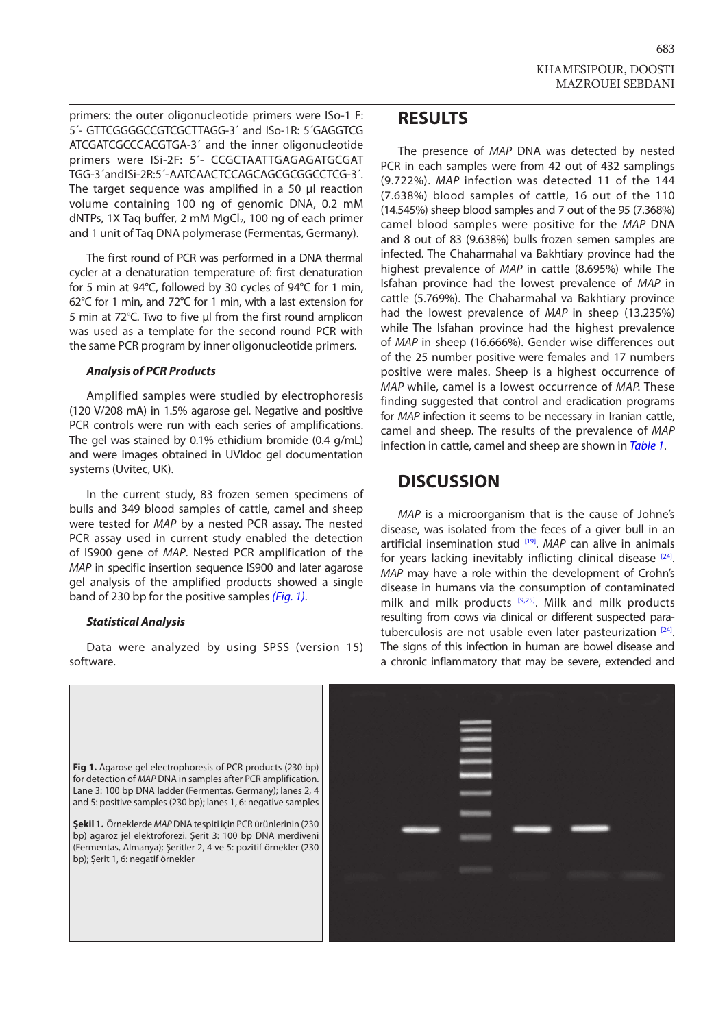primers: the outer oligonucleotide primers were ISo-1 F: 5´- GTTCGGGGCCGTCGCTTAGG-3´ and ISo-1R: 5´GAGGTCG ATCGATCGCCCACGTGA-3´ and the inner oligonucleotide primers were ISi-2F: 5´- CCGCTAATTGAGAGATGCGAT TGG-3´ and ISi-2R:5´ - AATCAACTCCAGCAGCGCGGCCTCG-3´. The target sequence was amplified in a 50 μl reaction volume containing 100 ng of genomic DNA, 0.2 mM dNTPs, 1X Taq buffer, 2 mM MgCl<sub>2</sub>, 100 ng of each primer and 1 unit of Taq DNA polymerase (Fermentas, Germany).

The first round of PCR was performed in a DNA thermal cycler at a denaturation temperature of: first denaturation for 5 min at 94°C, followed by 30 cycles of 94°C for 1 min, 62°C for 1 min, and 72°C for 1 min, with a last extension for 5 min at 72°C. Two to five µl from the first round amplicon was used as a template for the second round PCR with the same PCR program by inner oligonucleotide primers.

#### *Analysis of PCR Products*

Amplified samples were studied by electrophoresis (120 V/208 mA) in 1.5% agarose gel. Negative and positive PCR controls were run with each series of amplifications. The gel was stained by 0.1% ethidium bromide (0.4 g/mL) and were images obtained in UVIdoc gel documentation systems (Uvitec, UK).

In the current study, 83 frozen semen specimens of bulls and 349 blood samples of cattle, camel and sheep were tested for *MAP* by a nested PCR assay. The nested PCR assay used in current study enabled the detection of IS900 gene of *MAP*. Nested PCR amplification of the *MAP* in specific insertion sequence IS900 and later agarose gel analysis of the amplified products showed a single band of 230 bp for the positive samples *(Fig. 1)*.

#### *Statistical Analysis*

Data were analyzed by using SPSS (version 15) software.

### **RESULTS**

The presence of *MAP* DNA was detected by nested PCR in each samples were from 42 out of 432 samplings (9.722%). *MAP* infection was detected 11 of the 144 (7.638%) blood samples of cattle, 16 out of the 110 (14.545%) sheep blood samples and 7 out of the 95 (7.368%) camel blood samples were positive for the *MAP* DNA and 8 out of 83 (9.638%) bulls frozen semen samples are infected. The Chaharmahal va Bakhtiary province had the highest prevalence of *MAP* in cattle (8.695%) while The Isfahan province had the lowest prevalence of *MAP* in cattle (5.769%). The Chaharmahal va Bakhtiary province had the lowest prevalence of *MAP* in sheep (13.235%) while The Isfahan province had the highest prevalence of *MAP* in sheep (16.666%). Gender wise differences out of the 25 number positive were females and 17 numbers positive were males. Sheep is a highest occurrence of *MAP* while, camel is a lowest occurrence of *MAP.* These finding suggested that control and eradication programs for *MAP* infection it seems to be necessary in Iranian cattle, camel and sheep. The results of the prevalence of *MAP*  infection in cattle, camel and sheep are shown in *[Table 1](#page-3-0)*.

### **DISCUSSION**

*MAP* is a microorganism that is the cause of Johne's disease, was isolated from the feces of a giver bull in an artificial insemination stud <sup>[\[19\]](#page-4-0)</sup>. *MAP* can alive in animals for years lacking inevitably inflicting clinical disease [\[24\].](#page-5-0) *MAP* may have a role within the development of Crohn's disease in humans via the consumption of contaminated milk and milk products  $[9,25]$  $[9,25]$ . Milk and milk products resulting from cows via clinical or different suspected para-tuberculosis are not usable even later pasteurization [\[24\].](#page-5-0) The signs of this infection in human are bowel disease and a chronic inflammatory that may be severe, extended and

Fig 1. Agarose gel electrophoresis of PCR products (230 bp) for detection of *MAP* DNA in samples after PCR amplification. Lane 3: 100 bp DNA ladder (Fermentas, Germany); lanes 2, 4 and 5: positive samples (230 bp); lanes 1, 6: negative samples **Şekil 1.** Örneklerde *MAP* DNA tespiti için PCR ürünlerinin (230 bp) agaroz jel elektroforezi. Şerit 3: 100 bp DNA merdiveni (Fermentas, Almanya); Şeritler 2, 4 ve 5: pozitif örnekler (230 bp); Şerit 1, 6: negatif örnekler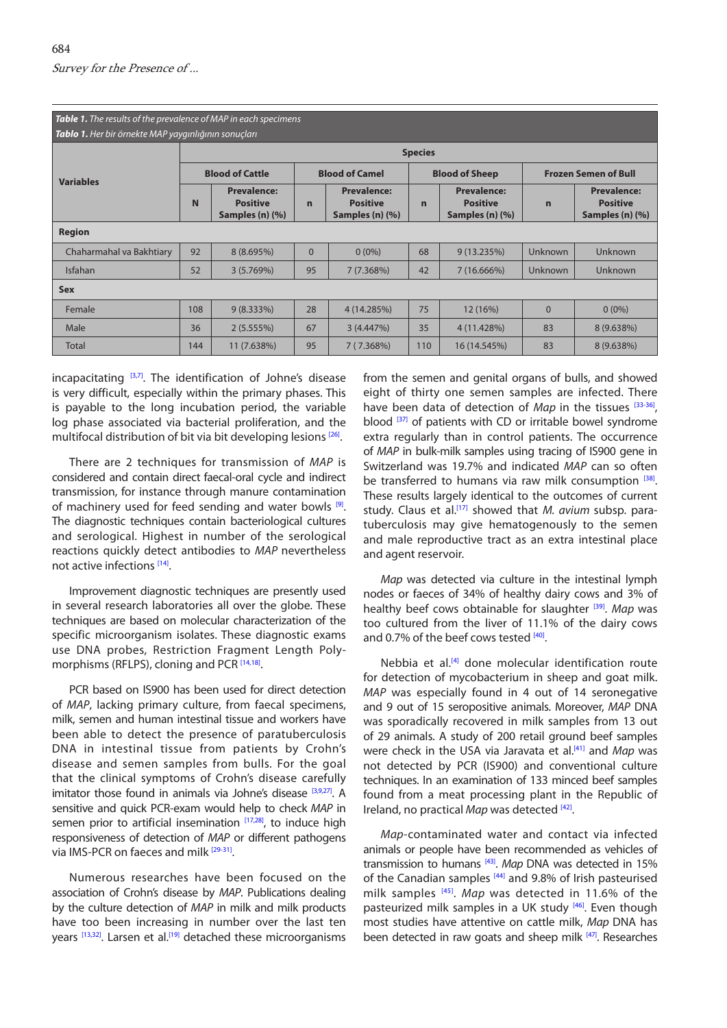<span id="page-3-0"></span>

| Table 1. The results of the prevalence of MAP in each specimens |                        |                                                          |                       |                                                          |                       |                                                          |                             |                                                          |
|-----------------------------------------------------------------|------------------------|----------------------------------------------------------|-----------------------|----------------------------------------------------------|-----------------------|----------------------------------------------------------|-----------------------------|----------------------------------------------------------|
| Tablo 1. Her bir örnekte MAP yaygınlığının sonuçları            |                        |                                                          |                       |                                                          |                       |                                                          |                             |                                                          |
| <b>Variables</b>                                                | <b>Species</b>         |                                                          |                       |                                                          |                       |                                                          |                             |                                                          |
|                                                                 | <b>Blood of Cattle</b> |                                                          | <b>Blood of Camel</b> |                                                          | <b>Blood of Sheep</b> |                                                          | <b>Frozen Semen of Bull</b> |                                                          |
|                                                                 | N                      | <b>Prevalence:</b><br><b>Positive</b><br>Samples (n) (%) | $\mathbf n$           | <b>Prevalence:</b><br><b>Positive</b><br>Samples (n) (%) | $\mathbf n$           | <b>Prevalence:</b><br><b>Positive</b><br>Samples (n) (%) | $\mathbf n$                 | <b>Prevalence:</b><br><b>Positive</b><br>Samples (n) (%) |
| <b>Region</b>                                                   |                        |                                                          |                       |                                                          |                       |                                                          |                             |                                                          |
| Chaharmahal va Bakhtiary                                        | 92                     | $8(8.695\%)$                                             | $\Omega$              | $0(0\%)$                                                 | 68                    | 9(13.235%)                                               | <b>Unknown</b>              | Unknown                                                  |
| Isfahan                                                         | 52                     | 3(5.769%)                                                | 95                    | 7(7.368%)                                                | 42                    | 7(16.666%)                                               | <b>Unknown</b>              | <b>Unknown</b>                                           |
| <b>Sex</b>                                                      |                        |                                                          |                       |                                                          |                       |                                                          |                             |                                                          |
| Female                                                          | 108                    | $9(8.333\%)$                                             | 28                    | 4 (14.285%)                                              | 75                    | 12 (16%)                                                 | $\Omega$                    | $0(0\%)$                                                 |
| Male                                                            | 36                     | 2(5.555%)                                                | 67                    | 3(4.447%)                                                | 35                    | 4 (11.428%)                                              | 83                          | 8 (9.638%)                                               |
| <b>Total</b>                                                    | 144                    | 11 (7.638%)                                              | 95                    | 7(7.368%)                                                | 110                   | 16 (14.545%)                                             | 83                          | 8 (9.638%)                                               |

incapacitating  $[3,7]$ . The identification of Johne's disease is very difficult, especially within the primary phases. This is payable to the long incubation period, the variable log phase associated via bacterial proliferation, and the multifocal distribution of bit via bit developing lesions [\[26\]](#page-5-0).

There are 2 techniques for transmission of *MAP* is considered and contain direct faecal-oral cycle and indirect transmission, for instance through manure contamination of machinery used for feed sending and water bowls  $[9]$ . The diagnostic techniques contain bacteriological cultures and serological. Highest in number of the serological reactions quickly detect antibodies to *MAP* nevertheless not active infections [\[14\]](#page-4-0).

Improvement diagnostic techniques are presently used in several research laboratories all over the globe. These techniques are based on molecular characterization of the specific microorganism isolates. These diagnostic exams use DNA probes, Restriction Fragment Length Poly-morphisms (RFLPS), cloning and PCR<sup>[\[14,18\]](#page-4-0)</sup>.

PCR based on IS900 has been used for direct detection of *MAP*, lacking primary culture, from faecal specimens, milk, semen and human intestinal tissue and workers have been able to detect the presence of paratuberculosis DNA in intestinal tissue from patients by Crohn's disease and semen samples from bulls. For the goal that the clinical symptoms of Crohn's disease carefully imitator those found in animals via Johne's disease [\[3,9,](#page-4-0)[27\].](#page-5-0) A sensitive and quick PCR-exam would help to check *MAP* in semen prior to artificial insemination  $[17,28]$  $[17,28]$ , to induce high responsiveness of detection of *MAP* or different pathogens via IMS-PCR on faeces and milk [\[29-31\]](#page-5-0).

Numerous researches have been focused on the association of Crohn's disease by *MAP*. Publications dealing by the culture detection of *MAP* in milk and milk products have too been increasing in number over the last ten years [\[13](#page-4-0)[,32\].](#page-5-0) Larsen et al.<sup>[19]</sup> detached these microorganisms

from the semen and genital organs of bulls, and showed eight of thirty one semen samples are infected. There have been data of detection of *Map* in the tissues [\[33-36\]](#page-5-0), blood <sup>[\[37\]](#page-5-0)</sup> of patients with CD or irritable bowel syndrome extra regularly than in control patients. The occurrence of *MAP* in bulk-milk samples using tracing of IS900 gene in Switzerland was 19.7% and indicated *MAP* can so often be transferred to humans via raw milk consumption  $[38]$ . These results largely identical to the outcomes of current study. Claus et al.[\[17\]](#page-4-0) showed that *M. avium* subsp. paratuberculosis may give hematogenously to the semen and male reproductive tract as an extra intestinal place and agent reservoir.

*Map* was detected via culture in the intestinal lymph nodes or faeces of 34% of healthy dairy cows and 3% of healthy beef cows obtainable for slaughter [\[39\]](#page-5-0). *Map* was too cultured from the liver of 11.1% of the dairy cows and 0.7% of the beef cows tested [\[40\]](#page-5-0).

Nebbia et al.<sup>[\[4\]](#page-4-0)</sup> done molecular identification route for detection of mycobacterium in sheep and goat milk. *MAP* was especially found in 4 out of 14 seronegative and 9 out of 15 seropositive animals. Moreover, *MAP* DNA was sporadically recovered in milk samples from 13 out of 29 animals. A study of 200 retail ground beef samples were check in the USA via Jaravata et al[.\[41](#page-5-0)] and *Map* was not detected by PCR (IS900) and conventional culture techniques. In an examination of 133 minced beef samples found from a meat processing plant in the Republic of Ireland, no practical *Map* was detected [\[42\]](#page-5-0).

*Map*-contaminated water and contact via infected animals or people have been recommended as vehicles of transmission to humans [\[43\].](#page-5-0) *Map* DNA was detected in 15% of the Canadian samples [\[44](#page-5-0)] and 9.8% of Irish pasteurised milk samples [\[45\]](#page-5-0). *Map* was detected in 11.6% of the pasteurized milk samples in a UK study [\[46\].](#page-5-0) Even though most studies have attentive on cattle milk, *Map* DNA has been detected in raw goats and sheep milk [\[47\]](#page-5-0). Researches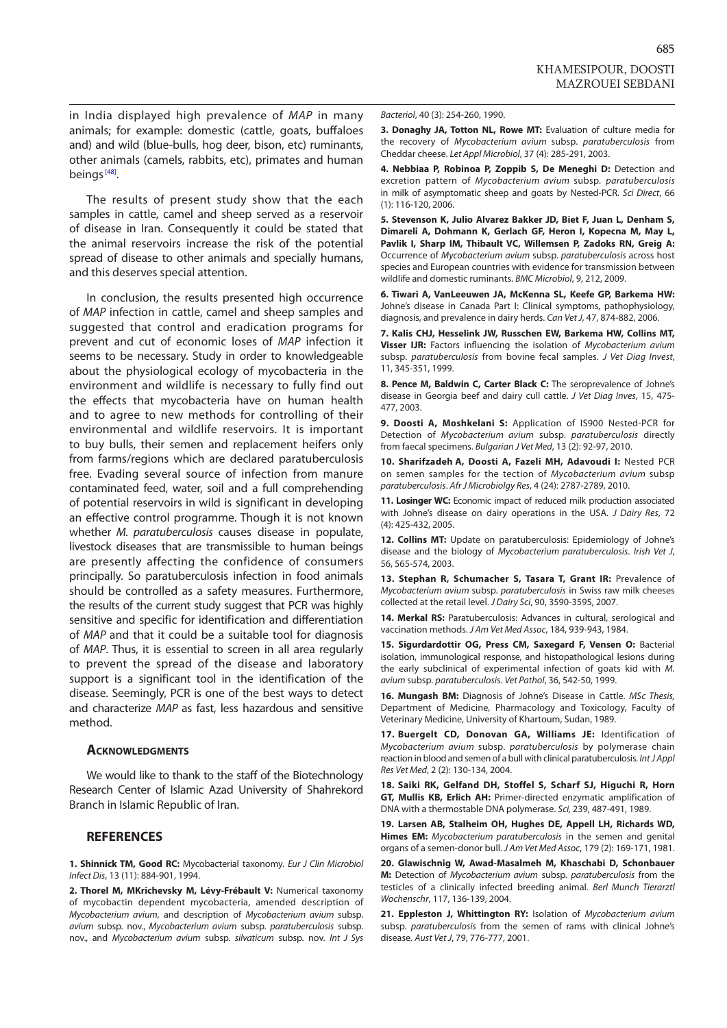685

<span id="page-4-0"></span>in India displayed high prevalence of *MAP* in many animals; for example: domestic (cattle, goats, buffaloes and) and wild (blue-bulls, hog deer, bison, etc) ruminants, other animals (camels, rabbits, etc), primates and human beings<sup>[\[48\]](#page-5-0)</sup>.

The results of present study show that the each samples in cattle, camel and sheep served as a reservoir of disease in Iran. Consequently it could be stated that the animal reservoirs increase the risk of the potential spread of disease to other animals and specially humans, and this deserves special attention.

In conclusion, the results presented high occurrence of *MAP* infection in cattle, camel and sheep samples and suggested that control and eradication programs for prevent and cut of economic loses of *MAP* infection it seems to be necessary. Study in order to knowledgeable about the physiological ecology of mycobacteria in the environment and wildlife is necessary to fully find out the effects that mycobacteria have on human health and to agree to new methods for controlling of their environmental and wildlife reservoirs. It is important to buy bulls, their semen and replacement heifers only from farms/regions which are declared paratuberculosis free. Evading several source of infection from manure contaminated feed, water, soil and a full comprehending of potential reservoirs in wild is significant in developing an effective control programme. Though it is not known whether *M. paratuberculosis* causes disease in populate, livestock diseases that are transmissible to human beings are presently affecting the confidence of consumers principally. So paratuberculosis infection in food animals should be controlled as a safety measures. Furthermore, the results of the current study suggest that PCR was highly sensitive and specific for identification and differentiation of *MAP* and that it could be a suitable tool for diagnosis of *MAP*. Thus, it is essential to screen in all area regularly to prevent the spread of the disease and laboratory support is a significant tool in the identification of the disease. Seemingly, PCR is one of the best ways to detect and characterize *MAP* as fast, less hazardous and sensitive method.

#### **Acknowledgments**

We would like to thank to the staff of the Biotechnology Research Center of Islamic Azad University of Shahrekord Branch in Islamic Republic of Iran.

#### **REFERENCES**

**1. Shinnick TM, Good RC:** Mycobacterial taxonomy. *Eur J Clin Microbiol Infect Dis*, 13 (11): 884-901, 1994.

**2. Thorel M, MKrichevsky M, Lévy-Frébault V:** Numerical taxonomy of mycobactin dependent mycobacteria, amended description of *Mycobacterium avium*, and description of *Mycobacterium avium* subsp. *avium* subsp. nov., *Mycobacterium avium* subsp. *paratuberculosis* subsp. nov., and *Mycobacterium avium* subsp. *silvaticum* subsp. nov. *Int J Sys*  *Bacteriol*, 40 (3): 254-260, 1990.

**3. Donaghy JA, Totton NL, Rowe MT:** Evaluation of culture media for the recovery of *Mycobacterium avium* subsp. *paratuberculosis* from Cheddar cheese. *Let Appl Microbiol*, 37 (4): 285-291, 2003.

**4. Nebbiaa P, Robinoa P, Zoppib S, De Meneghi D:** Detection and excretion pattern of *Mycobacterium avium* subsp. *paratuberculosis* in milk of asymptomatic sheep and goats by Nested-PCR. *Sci Direct*, 66 (1): 116-120, 2006.

**5. Stevenson K, Julio Alvarez Bakker JD, Biet F, Juan L, Denham S, Dimareli A, Dohmann K, Gerlach GF, Heron I, Kopecna M, May L, Pavlik I, Sharp IM, Thibault VC, Willemsen P, Zadoks RN, Greig A:** Occurrence of *Mycobacterium avium* subsp. *paratuberculosis* across host species and European countries with evidence for transmission between wildlife and domestic ruminants. *BMC Microbiol*, 9, 212, 2009.

**6. Tiwari A, VanLeeuwen JA, McKenna SL, Keefe GP, Barkema HW:** Johne's disease in Canada Part I: Clinical symptoms, pathophysiology, diagnosis, and prevalence in dairy herds. *Can Vet J*, 47, 874-882, 2006.

**7. Kalis CHJ, Hesselink JW, Russchen EW, Barkema HW, Collins MT, Visser IJR:** Factors influencing the isolation of *Mycobacterium avium*  subsp. *paratuberculosis* from bovine fecal samples. *J Vet Diag Invest*, 11, 345-351, 1999.

**8. Pence M, Baldwin C, Carter Black C:** The seroprevalence of Johne's disease in Georgia beef and dairy cull cattle. *J Vet Diag Inves*, 15, 475- 477, 2003.

**9. Doosti A, Moshkelani S:** Application of IS900 Nested-PCR for Detection of *Mycobacterium avium* subsp. *paratuberculosis* directly from faecal specimens. *Bulgarian J Vet Med*, 13 (2): 92-97, 2010.

**10. Sharifzadeh A, Doosti A, Fazeli MH, Adavoudi I:** Nested PCR on semen samples for the tection of *Mycobacterium avium* subsp *paratuberculosis*. *Afr J Microbiolgy Res*, 4 (24): 2787-2789, 2010.

**11. Losinger WC:** Economic impact of reduced milk production associated with Johne's disease on dairy operations in the USA. *J Dairy Res*, 72 (4): 425-432, 2005.

**12. Collins MT:** Update on paratuberculosis: Epidemiology of Johne's disease and the biology of *Mycobacterium paratuberculosis*. *Irish Vet J*, 56, 565-574, 2003.

**13. Stephan R, Schumacher S, Tasara T, Grant IR:** Prevalence of *Mycobacterium avium* subsp. *paratuberculosis* in Swiss raw milk cheeses collected at the retail level. *J Dairy Sci*, 90, 3590-3595, 2007.

**14. Merkal RS:** Paratuberculosis: Advances in cultural, serological and vaccination methods. *J Am Vet Med Assoc*, 184, 939-943, 1984.

**15. Sigurdardottir OG, Press CM, Saxegard F, Vensen O:** Bacterial isolation, immunological response, and histopathological lesions during the early subclinical of experimental infection of goats kid with *M. avium* subsp. *paratuberculosi*s. *Vet Pathol*, 36, 542-50, 1999.

**16. Mungash BM:** Diagnosis of Johne's Disease in Cattle. *MSc Thesis,* Department of Medicine, Pharmacology and Toxicology, Faculty of Veterinary Medicine, University of Khartoum, Sudan, 1989.

**17. Buergelt CD, Donovan GA, Williams JE:** Identification of *Mycobacterium avium* subsp. *paratuberculosis* by polymerase chain reaction in blood and semen of a bull with clinical paratuberculosis. *Int J Appl Res Vet Med*, 2 (2): 130-134, 2004.

**18. Saiki RK, Gelfand DH, Stoffel S, Scharf SJ, Higuchi R, Horn GT, Mullis KB, Erlich AH:** Primer-directed enzymatic amplification of DNA with a thermostable DNA polymerase. *Sci,* 239, 487-491, 1989.

**19. Larsen AB, Stalheim OH, Hughes DE, Appell LH, Richards WD, Himes EM:** *Mycobacterium paratuberculosis* in the semen and genital organs of a semen-donor bull. *J Am Vet Med Assoc*, 179 (2): 169-171, 1981.

**20. Glawischnig W, Awad-Masalmeh M, Khaschabi D, Schonbauer M:** Detection of *Mycobacterium avium* subsp. *paratuberculosis* from the testicles of a clinically infected breeding animal. *Berl Munch Tierarztl Wochenschr*, 117, 136-139, 2004.

**21. Eppleston J, Whittington RY:** Isolation of *Mycobacterium avium*  subsp. *paratuberculosis* from the semen of rams with clinical Johne's disease*. Aust Vet J*, 79, 776-777, 2001.